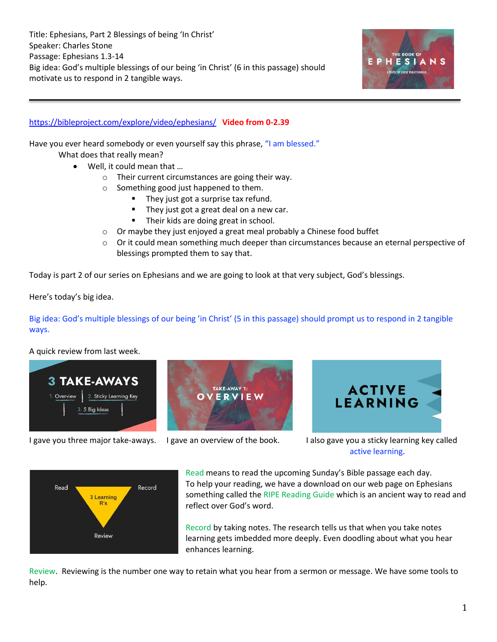

## <https://bibleproject.com/explore/video/ephesians/> **Video from 0-2.39**

Have you ever heard somebody or even yourself say this phrase, "I am blessed."

What does that really mean?

- Well, it could mean that …
	- o Their current circumstances are going their way.
	- o Something good just happened to them.
		- They just got a surprise tax refund.
		- They just got a great deal on a new car.
		- Their kids are doing great in school.
	- o Or maybe they just enjoyed a great meal probably a Chinese food buffet
	- $\circ$  Or it could mean something much deeper than circumstances because an eternal perspective of blessings prompted them to say that.

Today is part 2 of our series on Ephesians and we are going to look at that very subject, God's blessings.

Here's today's big idea.

Big idea: God's multiple blessings of our being 'in Christ' (5 in this passage) should prompt us to respond in 2 tangible ways.

A quick review from last week.





I gave you three major take-aways. I gave an overview of the book. I also gave you a sticky learning key called active learning.

ACTIVE<br>LEARNING



Read means to read the upcoming Sunday's Bible passage each day. To help your reading, we have a download on our web page on Ephesians something called the RIPE Reading Guide which is an ancient way to read and reflect over God's word.

Record by taking notes. The research tells us that when you take notes learning gets imbedded more deeply. Even doodling about what you hear enhances learning.

Review. Reviewing is the number one way to retain what you hear from a sermon or message. We have some tools to help.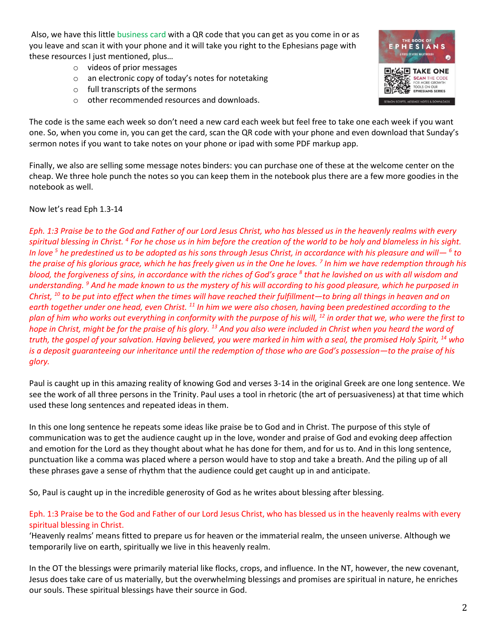Also, we have this little business card with a QR code that you can get as you come in or as you leave and scan it with your phone and it will take you right to the Ephesians page with these resources I just mentioned, plus…

- o videos of prior messages
- o an electronic copy of today's notes for notetaking
- o full transcripts of the sermons
- o other recommended resources and downloads.



The code is the same each week so don't need a new card each week but feel free to take one each week if you want one. So, when you come in, you can get the card, scan the QR code with your phone and even download that Sunday's sermon notes if you want to take notes on your phone or ipad with some PDF markup app.

Finally, we also are selling some message notes binders: you can purchase one of these at the welcome center on the cheap. We three hole punch the notes so you can keep them in the notebook plus there are a few more goodies in the notebook as well.

## Now let's read Eph 1.3-14

*Eph. 1:3 Praise be to the God and Father of our Lord Jesus Christ, who has blessed us in the heavenly realms with every spiritual blessing in Christ. <sup>4</sup> For he chose us in him before the creation of the world to be holy and blameless in his sight. In love <sup>5</sup> he predestined us to be adopted as his sons through Jesus Christ, in accordance with his pleasure and will— <sup>6</sup> to the praise of his glorious grace, which he has freely given us in the One he loves. <sup>7</sup> In him we have redemption through his blood, the forgiveness of sins, in accordance with the riches of God's grace <sup>8</sup> that he lavished on us with all wisdom and understanding. <sup>9</sup> And he made known to us the mystery of his will according to his good pleasure, which he purposed in Christ, <sup>10</sup> to be put into effect when the times will have reached their fulfillment—to bring all things in heaven and on earth together under one head, even Christ. <sup>11</sup> In him we were also chosen, having been predestined according to the plan of him who works out everything in conformity with the purpose of his will, <sup>12</sup> in order that we, who were the first to hope in Christ, might be for the praise of his glory. <sup>13</sup> And you also were included in Christ when you heard the word of truth, the gospel of your salvation. Having believed, you were marked in him with a seal, the promised Holy Spirit, <sup>14</sup> who is a deposit guaranteeing our inheritance until the redemption of those who are God's possession—to the praise of his glory.*

Paul is caught up in this amazing reality of knowing God and verses 3-14 in the original Greek are one long sentence. We see the work of all three persons in the Trinity. Paul uses a tool in rhetoric (the art of persuasiveness) at that time which used these long sentences and repeated ideas in them.

In this one long sentence he repeats some ideas like praise be to God and in Christ. The purpose of this style of communication was to get the audience caught up in the love, wonder and praise of God and evoking deep affection and emotion for the Lord as they thought about what he has done for them, and for us to. And in this long sentence, punctuation like a comma was placed where a person would have to stop and take a breath. And the piling up of all these phrases gave a sense of rhythm that the audience could get caught up in and anticipate.

So, Paul is caught up in the incredible generosity of God as he writes about blessing after blessing.

## Eph. 1:3 Praise be to the God and Father of our Lord Jesus Christ, who has blessed us in the heavenly realms with every spiritual blessing in Christ.

'Heavenly realms' means fitted to prepare us for heaven or the immaterial realm, the unseen universe. Although we temporarily live on earth, spiritually we live in this heavenly realm.

In the OT the blessings were primarily material like flocks, crops, and influence. In the NT, however, the new covenant, Jesus does take care of us materially, but the overwhelming blessings and promises are spiritual in nature, he enriches our souls. These spiritual blessings have their source in God.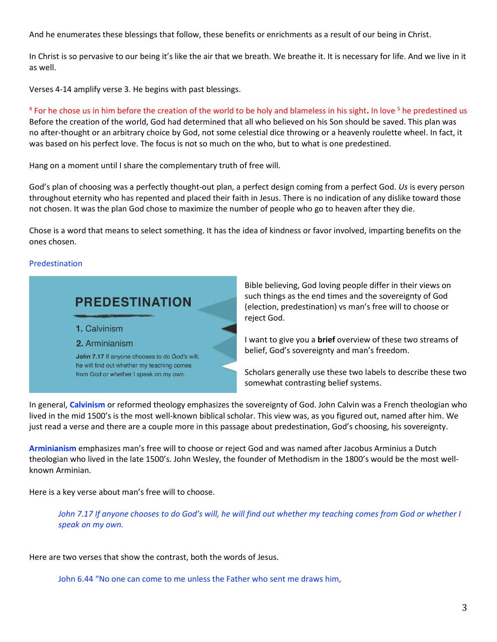And he enumerates these blessings that follow, these benefits or enrichments as a result of our being in Christ.

In Christ is so pervasive to our being it's like the air that we breath. We breathe it. It is necessary for life. And we live in it as well.

Verses 4-14 amplify verse 3. He begins with past blessings.

<sup>4</sup> For he chose us in him before the creation of the world to be holy and blameless in his sight. In love <sup>5</sup> he predestined us Before the creation of the world, God had determined that all who believed on his Son should be saved. This plan was no after-thought or an arbitrary choice by God, not some celestial dice throwing or a heavenly roulette wheel. In fact, it was based on his perfect love. The focus is not so much on the who, but to what is one predestined.

Hang on a moment until I share the complementary truth of free will.

God's plan of choosing was a perfectly thought-out plan, a perfect design coming from a perfect God. *Us* is every person throughout eternity who has repented and placed their faith in Jesus. There is no indication of any dislike toward those not chosen. It was the plan God chose to maximize the number of people who go to heaven after they die.

Chose is a word that means to select something. It has the idea of kindness or favor involved, imparting benefits on the ones chosen.

## Predestination

# **PREDESTINATION**

- 1. Calvinism
- 2. Arminianism

John 7.17 If anyone chooses to do God's will, he will find out whether my teaching comes from God or whether I speak on my own.

Bible believing, God loving people differ in their views on such things as the end times and the sovereignty of God (election, predestination) vs man's free will to choose or reject God.

I want to give you a **brief** overview of these two streams of belief, God's sovereignty and man's freedom.

Scholars generally use these two labels to describe these two somewhat contrasting belief systems.

In general, **Calvinism** or reformed theology emphasizes the sovereignty of God. John Calvin was a French theologian who lived in the mid 1500's is the most well-known biblical scholar. This view was, as you figured out, named after him. We just read a verse and there are a couple more in this passage about predestination, God's choosing, his sovereignty.

**Arminianism** emphasizes man's free will to choose or reject God and was named after Jacobus Arminius a Dutch theologian who lived in the late 1500's. John Wesley, the founder of Methodism in the 1800's would be the most wellknown Arminian.

Here is a key verse about man's free will to choose.

John 7.17 If anyone chooses to do God's will, he will find out whether my teaching comes from God or whether I *speak on my own.*

Here are two verses that show the contrast, both the words of Jesus.

John 6.44 "No one can come to me unless the Father who sent me draws him,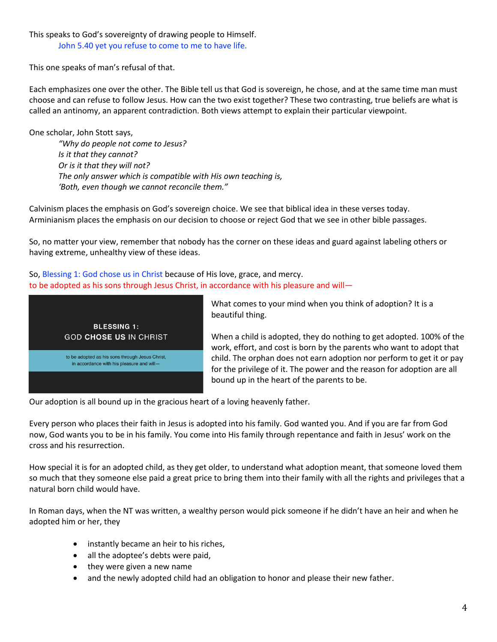## This speaks to God's sovereignty of drawing people to Himself. John 5.40 yet you refuse to come to me to have life.

This one speaks of man's refusal of that.

Each emphasizes one over the other. The Bible tell us that God is sovereign, he chose, and at the same time man must choose and can refuse to follow Jesus. How can the two exist together? These two contrasting, true beliefs are what is called an antinomy, an apparent contradiction. Both views attempt to explain their particular viewpoint.

One scholar, John Stott says, *"Why do people not come to Jesus? Is it that they cannot? Or is it that they will not? The only answer which is compatible with His own teaching is, 'Both, even though we cannot reconcile them."*

Calvinism places the emphasis on God's sovereign choice. We see that biblical idea in these verses today. Arminianism places the emphasis on our decision to choose or reject God that we see in other bible passages.

So, no matter your view, remember that nobody has the corner on these ideas and guard against labeling others or having extreme, unhealthy view of these ideas.

So, Blessing 1: God chose us in Christ because of His love, grace, and mercy. to be adopted as his sons through Jesus Christ, in accordance with his pleasure and will-



What comes to your mind when you think of adoption? It is a beautiful thing.

When a child is adopted, they do nothing to get adopted. 100% of the work, effort, and cost is born by the parents who want to adopt that child. The orphan does not earn adoption nor perform to get it or pay for the privilege of it. The power and the reason for adoption are all bound up in the heart of the parents to be.

Our adoption is all bound up in the gracious heart of a loving heavenly father.

Every person who places their faith in Jesus is adopted into his family. God wanted you. And if you are far from God now, God wants you to be in his family. You come into His family through repentance and faith in Jesus' work on the cross and his resurrection.

How special it is for an adopted child, as they get older, to understand what adoption meant, that someone loved them so much that they someone else paid a great price to bring them into their family with all the rights and privileges that a natural born child would have.

In Roman days, when the NT was written, a wealthy person would pick someone if he didn't have an heir and when he adopted him or her, they

- instantly became an heir to his riches,
- all the adoptee's debts were paid,
- they were given a new name
- and the newly adopted child had an obligation to honor and please their new father.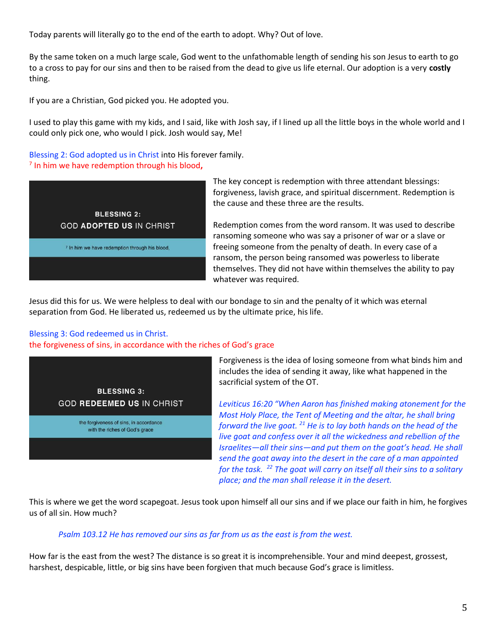Today parents will literally go to the end of the earth to adopt. Why? Out of love.

By the same token on a much large scale, God went to the unfathomable length of sending his son Jesus to earth to go to a cross to pay for our sins and then to be raised from the dead to give us life eternal. Our adoption is a very **costly** thing.

If you are a Christian, God picked you. He adopted you.

I used to play this game with my kids, and I said, like with Josh say, if I lined up all the little boys in the whole world and I could only pick one, who would I pick. Josh would say, Me!

Blessing 2: God adopted us in Christ into His forever family. 7 In him we have redemption through his blood**,** 



The key concept is redemption with three attendant blessings: forgiveness, lavish grace, and spiritual discernment. Redemption is the cause and these three are the results.

Redemption comes from the word ransom. It was used to describe ransoming someone who was say a prisoner of war or a slave or freeing someone from the penalty of death. In every case of a ransom, the person being ransomed was powerless to liberate themselves. They did not have within themselves the ability to pay whatever was required.

Jesus did this for us. We were helpless to deal with our bondage to sin and the penalty of it which was eternal separation from God. He liberated us, redeemed us by the ultimate price, his life.

# Blessing 3: God redeemed us in Christ.

#### the forgiveness of sins, in accordance with the riches of God's grace



Forgiveness is the idea of losing someone from what binds him and includes the idea of sending it away, like what happened in the sacrificial system of the OT.

*Leviticus 16:20 "When Aaron has finished making atonement for the Most Holy Place, the Tent of Meeting and the altar, he shall bring forward the live goat. <sup>21</sup> He is to lay both hands on the head of the live goat and confess over it all the wickedness and rebellion of the Israelites—all their sins—and put them on the goat's head. He shall send the goat away into the desert in the care of a man appointed for the task. <sup>22</sup> The goat will carry on itself all their sins to a solitary place; and the man shall release it in the desert.*

This is where we get the word scapegoat. Jesus took upon himself all our sins and if we place our faith in him, he forgives us of all sin. How much?

## *Psalm 103.12 He has removed our sins as far from us as the east is from the west.*

How far is the east from the west? The distance is so great it is incomprehensible. Your and mind deepest, grossest, harshest, despicable, little, or big sins have been forgiven that much because God's grace is limitless.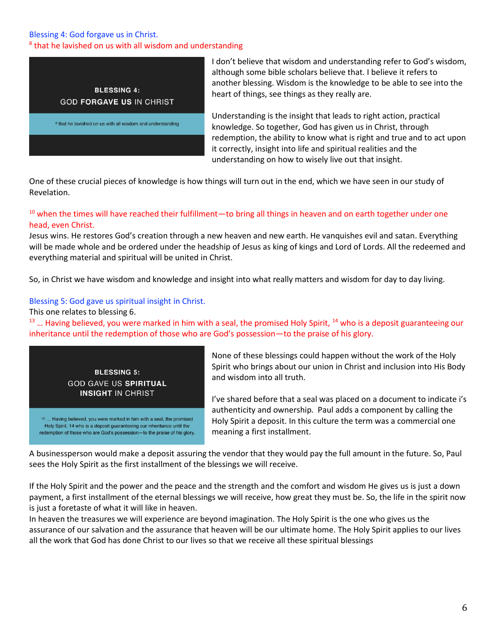# Blessing 4: God forgave us in Christ. <sup>8</sup> that he lavished on us with all wisdom and understanding



I don't believe that wisdom and understanding refer to God's wisdom, although some bible scholars believe that. I believe it refers to another blessing. Wisdom is the knowledge to be able to see into the heart of things, see things as they really are.

Understanding is the insight that leads to right action, practical knowledge. So together, God has given us in Christ, through redemption, the ability to know what is right and true and to act upon it correctly, insight into life and spiritual realities and the understanding on how to wisely live out that insight.

One of these crucial pieces of knowledge is how things will turn out in the end, which we have seen in our study of Revelation.

# <sup>10</sup> when the times will have reached their fulfillment—to bring all things in heaven and on earth together under one head, even Christ.

Jesus wins. He restores God's creation through a new heaven and new earth. He vanquishes evil and satan. Everything will be made whole and be ordered under the headship of Jesus as king of kings and Lord of Lords. All the redeemed and everything material and spiritual will be united in Christ.

So, in Christ we have wisdom and knowledge and insight into what really matters and wisdom for day to day living.

# Blessing 5: God gave us spiritual insight in Christ.

This one relates to blessing 6.

 $13$   $\ldots$  Having believed, you were marked in him with a seal, the promised Holy Spirit,  $^{14}$  who is a deposit guaranteeing our inheritance until the redemption of those who are God's possession—to the praise of his glory.



None of these blessings could happen without the work of the Holy Spirit who brings about our union in Christ and inclusion into His Body and wisdom into all truth.

I've shared before that a seal was placed on a document to indicate i's authenticity and ownership. Paul adds a component by calling the Holy Spirit a deposit. In this culture the term was a commercial one meaning a first installment.

A businessperson would make a deposit assuring the vendor that they would pay the full amount in the future. So, Paul sees the Holy Spirit as the first installment of the blessings we will receive.

If the Holy Spirit and the power and the peace and the strength and the comfort and wisdom He gives us is just a down payment, a first installment of the eternal blessings we will receive, how great they must be. So, the life in the spirit now is just a foretaste of what it will like in heaven.

In heaven the treasures we will experience are beyond imagination. The Holy Spirit is the one who gives us the assurance of our salvation and the assurance that heaven will be our ultimate home. The Holy Spirit applies to our lives all the work that God has done Christ to our lives so that we receive all these spiritual blessings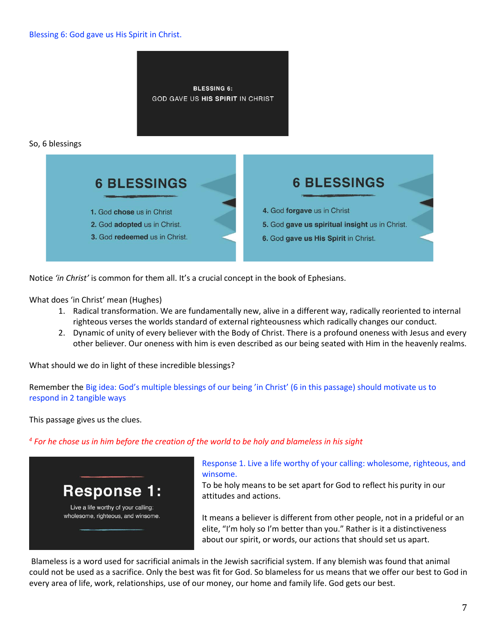

Notice *'in Christ'* is common for them all. It's a crucial concept in the book of Ephesians.

What does 'in Christ' mean (Hughes)

- 1. Radical transformation. We are fundamentally new, alive in a different way, radically reoriented to internal righteous verses the worlds standard of external righteousness which radically changes our conduct.
- 2. Dynamic of unity of every believer with the Body of Christ. There is a profound oneness with Jesus and every other believer. Our oneness with him is even described as our being seated with Him in the heavenly realms.

What should we do in light of these incredible blessings?

Remember the Big idea: God's multiple blessings of our being 'in Christ' (6 in this passage) should motivate us to respond in 2 tangible ways

This passage gives us the clues.

*4 For he chose us in him before the creation of the world to be holy and blameless in his sight*



Response 1. Live a life worthy of your calling: wholesome, righteous, and winsome.

To be holy means to be set apart for God to reflect his purity in our attitudes and actions.

It means a believer is different from other people, not in a prideful or an elite, "I'm holy so I'm better than you." Rather is it a distinctiveness about our spirit, or words, our actions that should set us apart.

Blameless is a word used for sacrificial animals in the Jewish sacrificial system. If any blemish was found that animal could not be used as a sacrifice. Only the best was fit for God. So blameless for us means that we offer our best to God in every area of life, work, relationships, use of our money, our home and family life. God gets our best.